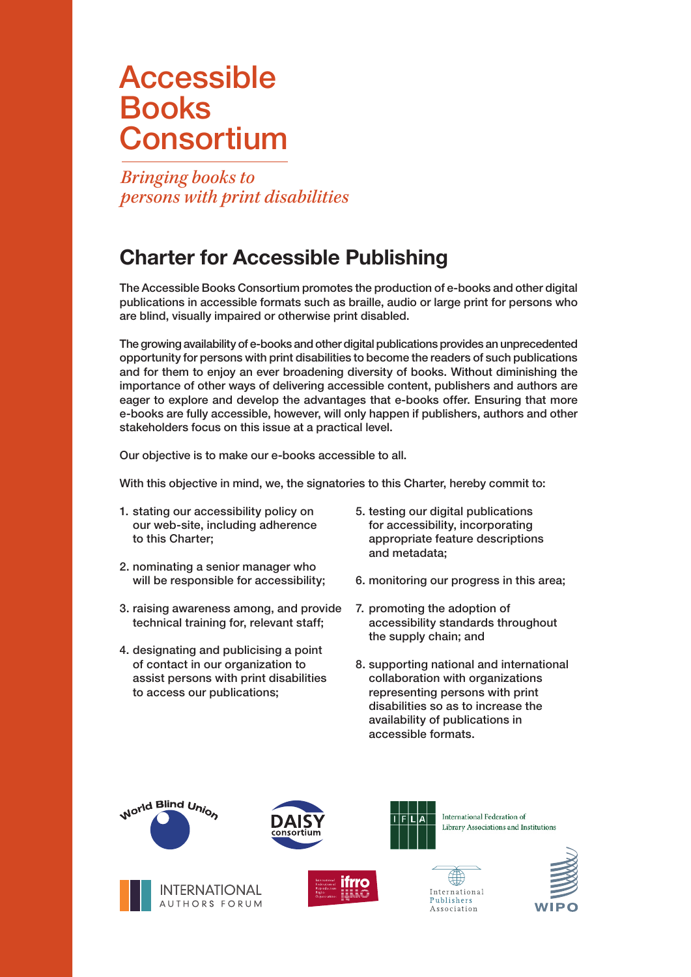## Accessible Books **Consortium**

*Bringing books to persons with print disabilities* 

## Charter for Accessible Publishing

The Accessible Books Consortium promotes the production of e-books and other digital publications in accessible formats such as braille, audio or large print for persons who are blind, visually impaired or otherwise print disabled.

stakeholders focus on this issue at a practical level. The growing availability of e-books and other digital publications provides an unprecedented opportunity for persons with print disabilities to become the readers of such publications and for them to enjoy an ever broadening diversity of books. Without diminishing the importance of other ways of delivering accessible content, publishers and authors are eager to explore and develop the advantages that e-books offer. Ensuring that more e-books are fully accessible, however, will only happen if publishers, authors and other

Our objective is to make our e-books accessible to all.

With this objective in mind, we, the signatories to this Charter, hereby commit to:

- 1. stating our accessibility policy on our web-site, including adherence to this Charter;
- 2. nominating a senior manager who will be responsible for accessibility;
- 3. raising awareness among, and provide technical training for, relevant staff;
- 4. designating and publicising a point of contact in our organization to assist persons with print disabilities to access our publications;
- 5. testing our digital publications for accessibility, incorporating appropriate feature descriptions and metadata;
- 6. monitoring our progress in this area;
- 7. promoting the adoption of accessibility standards throughout the supply chain; and
- 8. supporting national and international collaboration with organizations representing persons with print disabilities so as to increase the availability of publications in accessible formats.











International Federation of Library Associations and Institutions